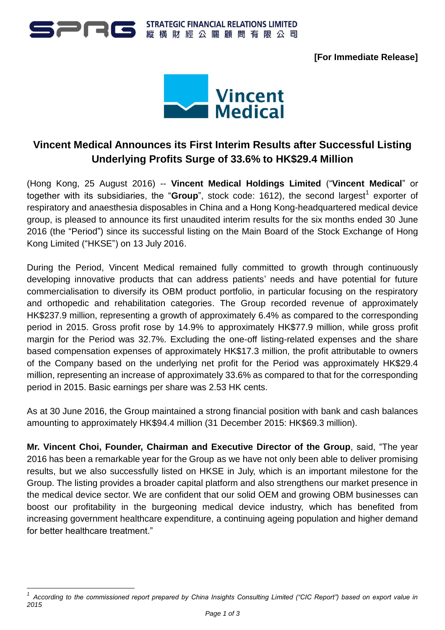

**[For Immediate Release]**



# **Vincent Medical Announces its First Interim Results after Successful Listing Underlying Profits Surge of 33.6% to HK\$29.4 Million**

(Hong Kong, 25 August 2016) -- **Vincent Medical Holdings Limited** ("**Vincent Medical**" or together with its subsidiaries, the "Group", stock code: 1612), the second largest<sup>1</sup> exporter of respiratory and anaesthesia disposables in China and a Hong Kong-headquartered medical device group, is pleased to announce its first unaudited interim results for the six months ended 30 June 2016 (the "Period") since its successful listing on the Main Board of the Stock Exchange of Hong Kong Limited ("HKSE") on 13 July 2016.

During the Period, Vincent Medical remained fully committed to growth through continuously developing innovative products that can address patients' needs and have potential for future commercialisation to diversify its OBM product portfolio, in particular focusing on the respiratory and orthopedic and rehabilitation categories. The Group recorded revenue of approximately HK\$237.9 million, representing a growth of approximately 6.4% as compared to the corresponding period in 2015. Gross profit rose by 14.9% to approximately HK\$77.9 million, while gross profit margin for the Period was 32.7%. Excluding the one-off listing-related expenses and the share based compensation expenses of approximately HK\$17.3 million, the profit attributable to owners of the Company based on the underlying net profit for the Period was approximately HK\$29.4 million, representing an increase of approximately 33.6% as compared to that for the corresponding period in 2015. Basic earnings per share was 2.53 HK cents.

As at 30 June 2016, the Group maintained a strong financial position with bank and cash balances amounting to approximately HK\$94.4 million (31 December 2015: HK\$69.3 million).

**Mr. Vincent Choi, Founder, Chairman and Executive Director of the Group**, said, "The year 2016 has been a remarkable year for the Group as we have not only been able to deliver promising results, but we also successfully listed on HKSE in July, which is an important milestone for the Group. The listing provides a broader capital platform and also strengthens our market presence in the medical device sector. We are confident that our solid OEM and growing OBM businesses can boost our profitability in the burgeoning medical device industry, which has benefited from increasing government healthcare expenditure, a continuing ageing population and higher demand for better healthcare treatment."

<sup>1</sup> <sup>1</sup> According to the commissioned report prepared by China Insights Consulting Limited ("CIC Report") based on export value in *2015*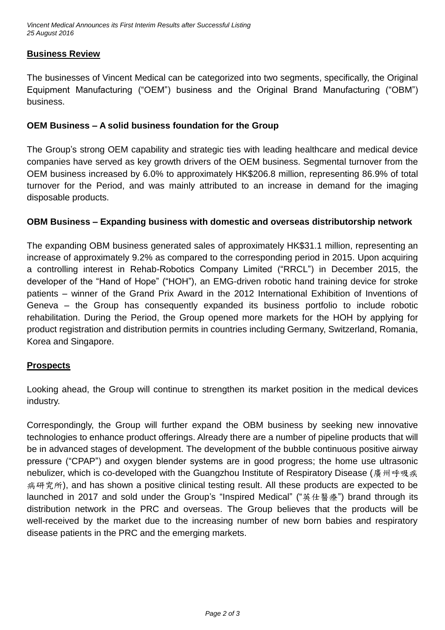# **Business Review**

The businesses of Vincent Medical can be categorized into two segments, specifically, the Original Equipment Manufacturing ("OEM") business and the Original Brand Manufacturing ("OBM") business.

## **OEM Business – A solid business foundation for the Group**

The Group's strong OEM capability and strategic ties with leading healthcare and medical device companies have served as key growth drivers of the OEM business. Segmental turnover from the OEM business increased by 6.0% to approximately HK\$206.8 million, representing 86.9% of total turnover for the Period, and was mainly attributed to an increase in demand for the imaging disposable products.

# **OBM Business – Expanding business with domestic and overseas distributorship network**

The expanding OBM business generated sales of approximately HK\$31.1 million, representing an increase of approximately 9.2% as compared to the corresponding period in 2015. Upon acquiring a controlling interest in Rehab-Robotics Company Limited ("RRCL") in December 2015, the developer of the "Hand of Hope" ("HOH"), an EMG-driven robotic hand training device for stroke patients – winner of the Grand Prix Award in the 2012 International Exhibition of Inventions of Geneva – the Group has consequently expanded its business portfolio to include robotic rehabilitation. During the Period, the Group opened more markets for the HOH by applying for product registration and distribution permits in countries including Germany, Switzerland, Romania, Korea and Singapore.

#### **Prospects**

Looking ahead, the Group will continue to strengthen its market position in the medical devices industry.

Correspondingly, the Group will further expand the OBM business by seeking new innovative technologies to enhance product offerings. Already there are a number of pipeline products that will be in advanced stages of development. The development of the bubble continuous positive airway pressure ("CPAP") and oxygen blender systems are in good progress; the home use ultrasonic nebulizer, which is co-developed with the Guangzhou Institute of Respiratory Disease (廣州呼吸疾 病研究所), and has shown a positive clinical testing result. All these products are expected to be launched in 2017 and sold under the Group's "Inspired Medical" ("英仕醫療") brand through its distribution network in the PRC and overseas. The Group believes that the products will be well-received by the market due to the increasing number of new born babies and respiratory disease patients in the PRC and the emerging markets.